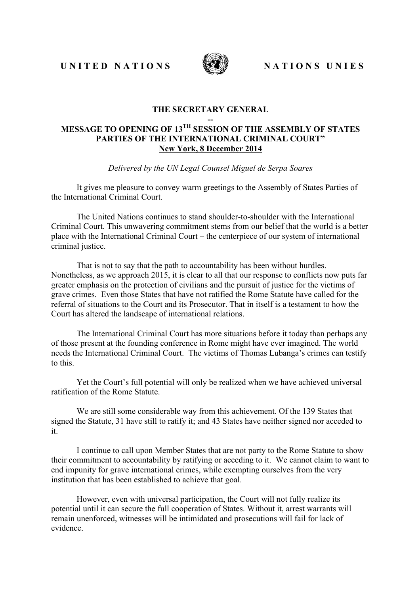UNITED NATIONS WATER NATIONS UNIES



## **THE SECRETARY GENERAL**

## **-- MESSAGE TO OPENING OF 13TH SESSION OF THE ASSEMBLY OF STATES PARTIES OF THE INTERNATIONAL CRIMINAL COURT" New York, 8 December 2014**

*Delivered by the UN Legal Counsel Miguel de Serpa Soares*

It gives me pleasure to convey warm greetings to the Assembly of States Parties of the International Criminal Court.

The United Nations continues to stand shoulder-to-shoulder with the International Criminal Court. This unwavering commitment stems from our belief that the world is a better place with the International Criminal Court – the centerpiece of our system of international criminal justice.

That is not to say that the path to accountability has been without hurdles. Nonetheless, as we approach 2015, it is clear to all that our response to conflicts now puts far greater emphasis on the protection of civilians and the pursuit of justice for the victims of grave crimes. Even those States that have not ratified the Rome Statute have called for the referral of situations to the Court and its Prosecutor. That in itself is a testament to how the Court has altered the landscape of international relations.

The International Criminal Court has more situations before it today than perhaps any of those present at the founding conference in Rome might have ever imagined. The world needs the International Criminal Court. The victims of Thomas Lubanga's crimes can testify to this.

Yet the Court's full potential will only be realized when we have achieved universal ratification of the Rome Statute.

We are still some considerable way from this achievement. Of the 139 States that signed the Statute, 31 have still to ratify it; and 43 States have neither signed nor acceded to it.

I continue to call upon Member States that are not party to the Rome Statute to show their commitment to accountability by ratifying or acceding to it. We cannot claim to want to end impunity for grave international crimes, while exempting ourselves from the very institution that has been established to achieve that goal.

However, even with universal participation, the Court will not fully realize its potential until it can secure the full cooperation of States. Without it, arrest warrants will remain unenforced, witnesses will be intimidated and prosecutions will fail for lack of evidence.